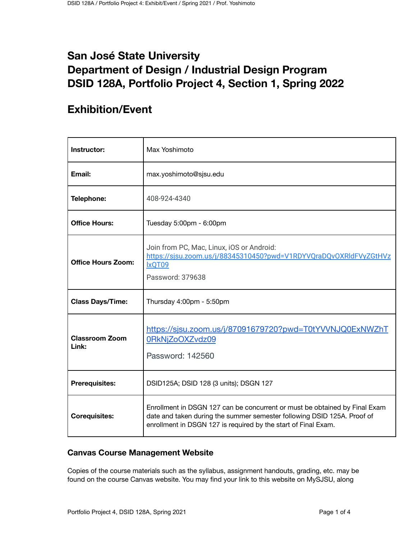# **San José State University Department of Design / Industrial Design Program DSID 128A, Portfolio Project 4, Section 1, Spring 2022**

# **Exhibition/Event**

| Instructor:                    | Max Yoshimoto                                                                                                                                                                                                           |
|--------------------------------|-------------------------------------------------------------------------------------------------------------------------------------------------------------------------------------------------------------------------|
| Email:                         | max.yoshimoto@sjsu.edu                                                                                                                                                                                                  |
| Telephone:                     | 408-924-4340                                                                                                                                                                                                            |
| <b>Office Hours:</b>           | Tuesday 5:00pm - 6:00pm                                                                                                                                                                                                 |
| <b>Office Hours Zoom:</b>      | Join from PC, Mac, Linux, iOS or Android:<br>https://sjsu.zoom.us/j/88345310450?pwd=V1RDYVQraDQvOXRldFVyZGtHVz<br>IxQT09<br>Password: 379638                                                                            |
| <b>Class Days/Time:</b>        | Thursday 4:00pm - 5:50pm                                                                                                                                                                                                |
| <b>Classroom Zoom</b><br>Link: | https://sjsu.zoom.us/j/87091679720?pwd=T0tYVVNJQ0ExNWZhT<br>0RkNjZoOXZvdz09<br>Password: 142560                                                                                                                         |
| <b>Prerequisites:</b>          | DSID125A; DSID 128 (3 units); DSGN 127                                                                                                                                                                                  |
| <b>Corequisites:</b>           | Enrollment in DSGN 127 can be concurrent or must be obtained by Final Exam<br>date and taken during the summer semester following DSID 125A. Proof of<br>enrollment in DSGN 127 is required by the start of Final Exam. |

## **Canvas Course Management Website**

Copies of the course materials such as the syllabus, assignment handouts, grading, etc. may be found on the course Canvas website. You may find your link to this website on MySJSU, along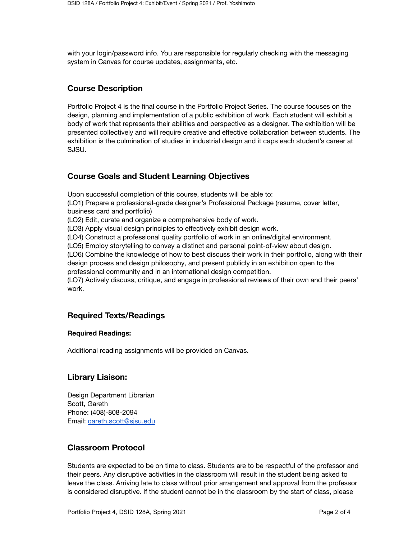with your login/password info. You are responsible for regularly checking with the messaging system in Canvas for course updates, assignments, etc.

## **Course Description**

Portfolio Project 4 is the final course in the Portfolio Project Series. The course focuses on the design, planning and implementation of a public exhibition of work. Each student will exhibit a body of work that represents their abilities and perspective as a designer. The exhibition will be presented collectively and will require creative and effective collaboration between students. The exhibition is the culmination of studies in industrial design and it caps each student's career at SJSU.

## **Course Goals and Student Learning Objectives**

Upon successful completion of this course, students will be able to:

(LO1) Prepare a professional-grade designer's Professional Package (resume, cover letter, business card and portfolio)

(LO2) Edit, curate and organize a comprehensive body of work.

(LO3) Apply visual design principles to effectively exhibit design work.

(LO4) Construct a professional quality portfolio of work in an online/digital environment.

(LO5) Employ storytelling to convey a distinct and personal point-of-view about design.

(LO6) Combine the knowledge of how to best discuss their work in their portfolio, along with their design process and design philosophy, and present publicly in an exhibition open to the professional community and in an international design competition.

(LO7) Actively discuss, critique, and engage in professional reviews of their own and their peers' work.

## **Required Texts/Readings**

#### **Required Readings:**

Additional reading assignments will be provided on Canvas.

### **Library Liaison:**

Design Department Librarian Scott, Gareth Phone: (408)-808-2094 Email: [gareth.scott@sjsu.edu](mailto:gareth.scott@sjsu.edu)

### **Classroom Protocol**

Students are expected to be on time to class. Students are to be respectful of the professor and their peers. Any disruptive activities in the classroom will result in the student being asked to leave the class. Arriving late to class without prior arrangement and approval from the professor is considered disruptive. If the student cannot be in the classroom by the start of class, please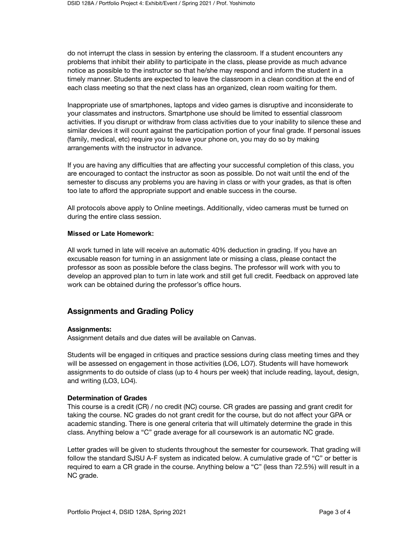do not interrupt the class in session by entering the classroom. If a student encounters any problems that inhibit their ability to participate in the class, please provide as much advance notice as possible to the instructor so that he/she may respond and inform the student in a timely manner. Students are expected to leave the classroom in a clean condition at the end of each class meeting so that the next class has an organized, clean room waiting for them.

Inappropriate use of smartphones, laptops and video games is disruptive and inconsiderate to your classmates and instructors. Smartphone use should be limited to essential classroom activities. If you disrupt or withdraw from class activities due to your inability to silence these and similar devices it will count against the participation portion of your final grade. If personal issues (family, medical, etc) require you to leave your phone on, you may do so by making arrangements with the instructor in advance.

If you are having any difficulties that are affecting your successful completion of this class, you are encouraged to contact the instructor as soon as possible. Do not wait until the end of the semester to discuss any problems you are having in class or with your grades, as that is often too late to afford the appropriate support and enable success in the course.

All protocols above apply to Online meetings. Additionally, video cameras must be turned on during the entire class session.

#### **Missed or Late Homework:**

All work turned in late will receive an automatic 40% deduction in grading. If you have an excusable reason for turning in an assignment late or missing a class, please contact the professor as soon as possible before the class begins. The professor will work with you to develop an approved plan to turn in late work and still get full credit. Feedback on approved late work can be obtained during the professor's office hours.

# **Assignments and Grading Policy**

#### **Assignments:**

Assignment details and due dates will be available on Canvas.

Students will be engaged in critiques and practice sessions during class meeting times and they will be assessed on engagement in those activities (LO6, LO7). Students will have homework assignments to do outside of class (up to 4 hours per week) that include reading, layout, design, and writing (LO3, LO4).

### **Determination of Grades**

This course is a credit (CR) / no credit (NC) course. CR grades are passing and grant credit for taking the course. NC grades do not grant credit for the course, but do not affect your GPA or academic standing. There is one general criteria that will ultimately determine the grade in this class. Anything below a "C" grade average for all coursework is an automatic NC grade.

Letter grades will be given to students throughout the semester for coursework. That grading will follow the standard SJSU A-F system as indicated below. A cumulative grade of "C" or better is required to earn a CR grade in the course. Anything below a "C" (less than 72.5%) will result in a NC grade.